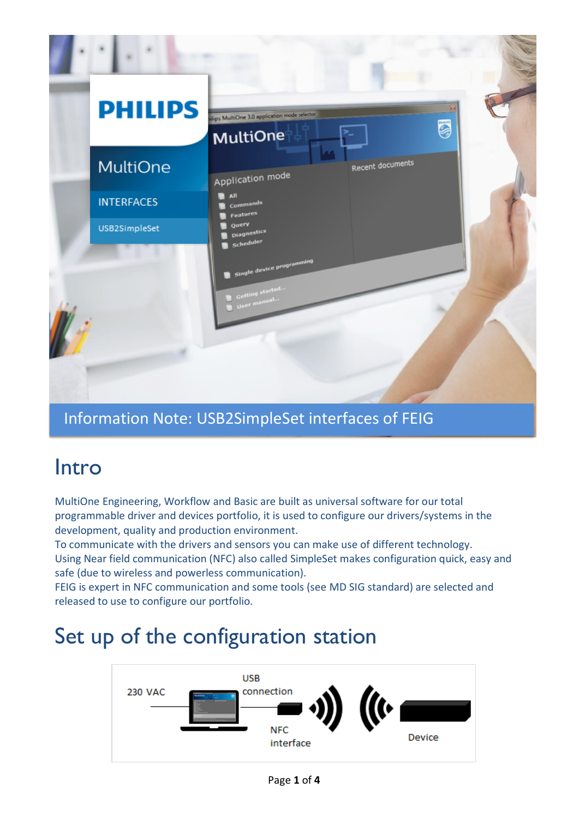

#### Information Note: USB2SimpleSet interfaces of FEIG

### Intro

MultiOne Engineering, Workflow and Basic are built as universal software for our total programmable driver and devices portfolio, it is used to configure our drivers/systems in the development, quality and production environment.

To communicate with the drivers and sensors you can make use of different technology. Using Near field communication (NFC) also called SimpleSet makes configuration quick, easy and safe (due to wireless and powerless communication).

FEIG is expert in NFC communication and some tools (see MD SIG standard) are selected and released to use to configure our portfolio.

## Set up of the configuration station

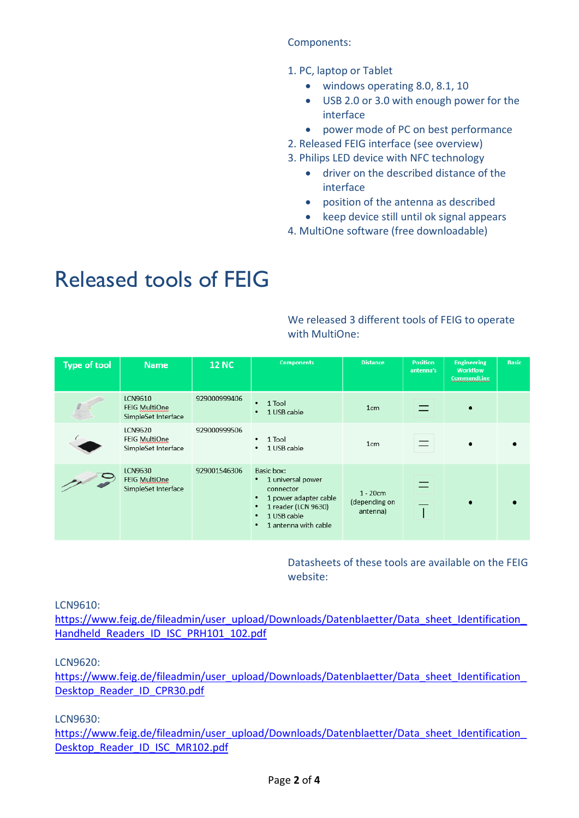#### Components:

- 1. PC, laptop or Tablet
	- windows operating 8.0, 8.1, 10
	- USB 2.0 or 3.0 with enough power for the interface
	- power mode of PC on best performance
- 2. Released FEIG interface (see overview)
- 3. Philips LED device with NFC technology
	- driver on the described distance of the interface
	- position of the antenna as described
	- keep device still until ok signal appears
- 4. MultiOne software (free downloadable)

# Released tools of FEIG

We released 3 different tools of FEIG to operate with MultiOne:

| <b>Type of tool</b> | <b>Name</b>                                                   | <b>12 NC</b> | <b>Components</b>                                                                                                                             | <b>Distance</b>                          | <b>Position</b><br>antenna's | <b>Engineering</b><br><b>Workflow</b><br>CommandLine | <b>Basic</b> |
|---------------------|---------------------------------------------------------------|--------------|-----------------------------------------------------------------------------------------------------------------------------------------------|------------------------------------------|------------------------------|------------------------------------------------------|--------------|
|                     | <b>LCN9610</b><br><b>FEIG MultiOne</b><br>SimpleSet Interface | 929000999406 | 1 Tool<br>1 USB cable<br>$\bullet$                                                                                                            | 1 <sub>cm</sub>                          |                              | $\bullet$                                            |              |
|                     | LCN9620<br>FEIG MultiOne<br>SimpleSet Interface               | 929000999506 | 1 Tool<br>$\bullet$<br>1 USB cable<br>٠                                                                                                       | 1 <sub>cm</sub>                          |                              |                                                      |              |
|                     | LCN9630<br>FEIG MultiOne<br>SimpleSet Interface               | 929001546306 | Basic box:<br>1 universal power<br>٠<br>connector<br>1 power adapter cable<br>1 reader (LCN 9630)<br>1 USB cable<br>٠<br>1 antenna with cable | $1 - 20$ cm<br>(depending on<br>antenna) |                              | $\bullet$                                            |              |

Datasheets of these tools are available on the FEIG website:

LCN9610:

https://www.feig.de/fileadmin/user\_upload/Downloads/Datenblaetter/Data\_sheet\_Identification [Handheld\\_Readers\\_ID\\_ISC\\_PRH101\\_102.pdf](https://www.feig.de/fileadmin/user_upload/Downloads/Datenblaetter/Data_sheet_Identification_Handheld_Readers_ID_ISC_PRH101_102.pdf)

#### LCN9620:

https://www.feig.de/fileadmin/user\_upload/Downloads/Datenblaetter/Data\_sheet\_Identification [Desktop\\_Reader\\_ID\\_CPR30.pdf](https://www.feig.de/fileadmin/user_upload/Downloads/Datenblaetter/Data_sheet_Identification_Desktop_Reader_ID_CPR30.pdf)

LCN9630:

https://www.feig.de/fileadmin/user\_upload/Downloads/Datenblaetter/Data\_sheet\_Identification [Desktop\\_Reader\\_ID\\_ISC\\_MR102.pdf](https://www.feig.de/fileadmin/user_upload/Downloads/Datenblaetter/Data_sheet_Identification_Desktop_Reader_ID_ISC_MR102.pdf)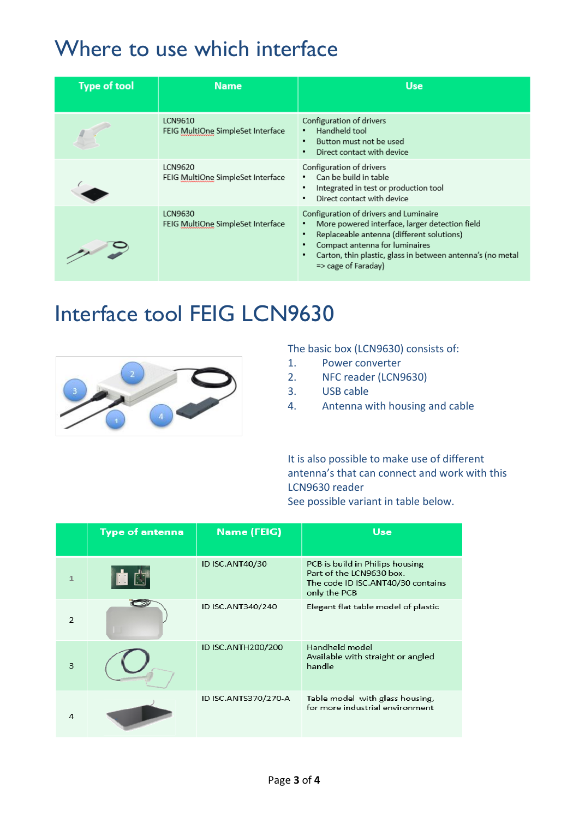# Where to use which interface

| <b>Type of tool</b> | <b>Name</b>                                  | <b>Use</b>                                                                                                                                                                                                                                                              |
|---------------------|----------------------------------------------|-------------------------------------------------------------------------------------------------------------------------------------------------------------------------------------------------------------------------------------------------------------------------|
|                     | LCN9610<br>FEIG MultiOne SimpleSet Interface | Configuration of drivers<br>Handheld tool<br>Button must not be used<br>٠<br>Direct contact with device<br>٠                                                                                                                                                            |
|                     | LCN9620<br>FEIG MultiOne SimpleSet Interface | Configuration of drivers<br>Can be build in table<br>$\bullet$<br>Integrated in test or production tool<br>Direct contact with device                                                                                                                                   |
|                     | LCN9630<br>FEIG MultiOne SimpleSet Interface | Configuration of drivers and Luminaire<br>More powered interface, larger detection field<br>Replaceable antenna (different solutions)<br>Compact antenna for luminaires<br>Carton, thin plastic, glass in between antenna's (no metal<br>$\Rightarrow$ cage of Faraday) |

### Interface tool FEIG LCN9630



The basic box (LCN9630) consists of:

- 1. Power converter
- 2. NFC reader (LCN9630)
- 3. USB cable
- 4. Antenna with housing and cable

It is also possible to make use of different antenna's that can connect and work with this LCN9630 reader

| See possible variant in table below. |  |  |  |
|--------------------------------------|--|--|--|
|--------------------------------------|--|--|--|

|               | <b>Type of antenna</b> | <b>Name (FEIG)</b>   | <b>Use</b>                                                                                                       |
|---------------|------------------------|----------------------|------------------------------------------------------------------------------------------------------------------|
|               |                        | ID ISC.ANT40/30      | PCB is build in Philips housing<br>Part of the LCN9630 box.<br>The code ID ISC.ANT40/30 contains<br>only the PCB |
| $\mathcal{P}$ |                        | ID ISC.ANT340/240    | Elegant flat table model of plastic                                                                              |
| 3             |                        | ID ISC.ANTH200/200   | Handheld model<br>Available with straight or angled<br>handle                                                    |
| Λ             |                        | ID ISC.ANTS370/270-A | Table model with glass housing,<br>for more industrial environment                                               |